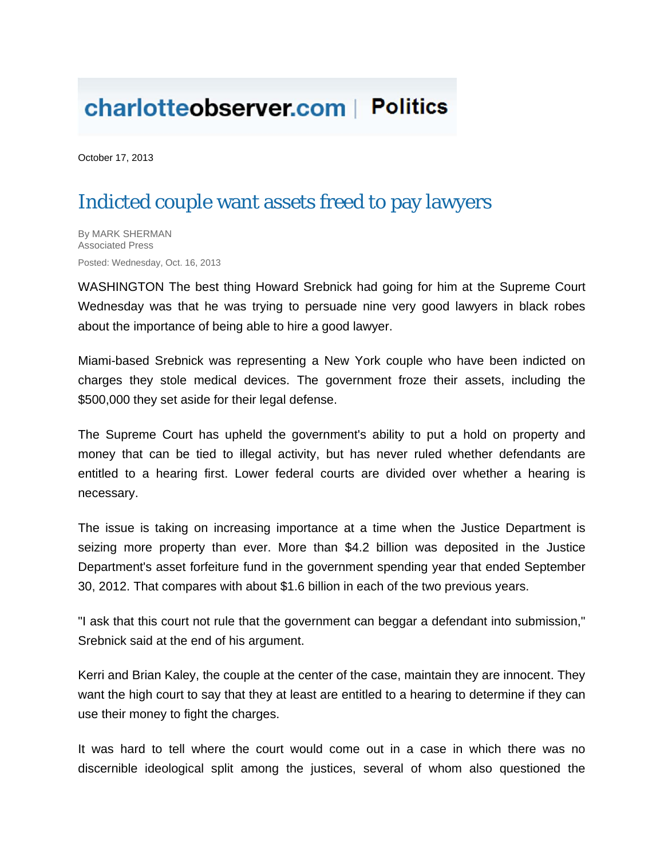## charlotteobserver.com | Politics

October 17, 2013

## Indicted couple want assets freed to pay lawyers

By MARK SHERMAN Associated Press Posted: Wednesday, Oct. 16, 2013

WASHINGTON The best thing Howard Srebnick had going for him at the Supreme Court Wednesday was that he was trying to persuade nine very good lawyers in black robes about the importance of being able to hire a good lawyer.

Miami-based Srebnick was representing a New York couple who have been indicted on charges they stole medical devices. The government froze their assets, including the \$500,000 they set aside for their legal defense.

The Supreme Court has upheld the government's ability to put a hold on property and money that can be tied to illegal activity, but has never ruled whether defendants are entitled to a hearing first. Lower federal courts are divided over whether a hearing is necessary.

The issue is taking on increasing importance at a time when the Justice Department is seizing more property than ever. More than \$4.2 billion was deposited in the Justice Department's asset forfeiture fund in the government spending year that ended September 30, 2012. That compares with about \$1.6 billion in each of the two previous years.

"I ask that this court not rule that the government can beggar a defendant into submission," Srebnick said at the end of his argument.

Kerri and Brian Kaley, the couple at the center of the case, maintain they are innocent. They want the high court to say that they at least are entitled to a hearing to determine if they can use their money to fight the charges.

It was hard to tell where the court would come out in a case in which there was no discernible ideological split among the justices, several of whom also questioned the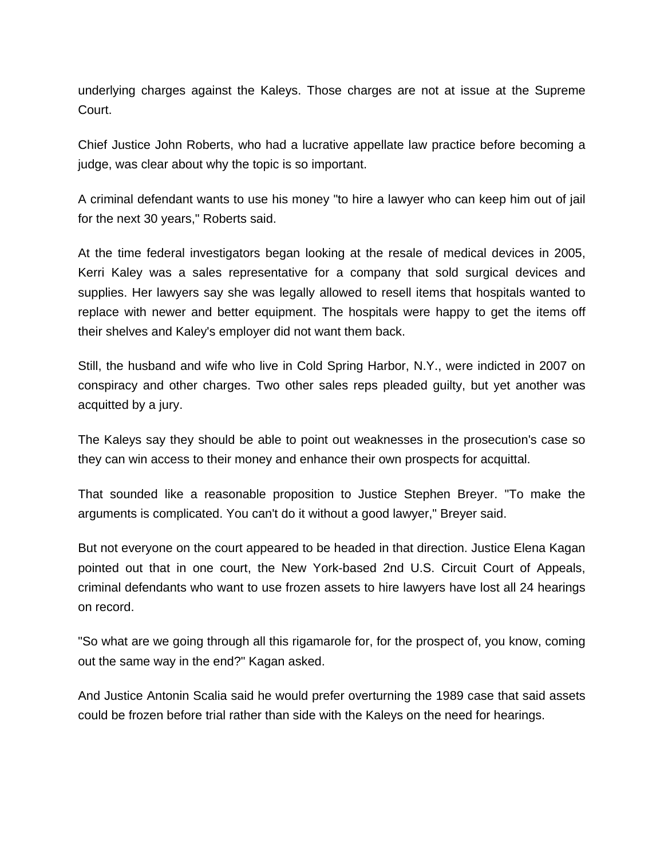underlying charges against the Kaleys. Those charges are not at issue at the Supreme Court.

Chief Justice John Roberts, who had a lucrative appellate law practice before becoming a judge, was clear about why the topic is so important.

A criminal defendant wants to use his money "to hire a lawyer who can keep him out of jail for the next 30 years," Roberts said.

At the time federal investigators began looking at the resale of medical devices in 2005, Kerri Kaley was a sales representative for a company that sold surgical devices and supplies. Her lawyers say she was legally allowed to resell items that hospitals wanted to replace with newer and better equipment. The hospitals were happy to get the items off their shelves and Kaley's employer did not want them back.

Still, the husband and wife who live in Cold Spring Harbor, N.Y., were indicted in 2007 on conspiracy and other charges. Two other sales reps pleaded guilty, but yet another was acquitted by a jury.

The Kaleys say they should be able to point out weaknesses in the prosecution's case so they can win access to their money and enhance their own prospects for acquittal.

That sounded like a reasonable proposition to Justice Stephen Breyer. "To make the arguments is complicated. You can't do it without a good lawyer," Breyer said.

But not everyone on the court appeared to be headed in that direction. Justice Elena Kagan pointed out that in one court, the New York-based 2nd U.S. Circuit Court of Appeals, criminal defendants who want to use frozen assets to hire lawyers have lost all 24 hearings on record.

"So what are we going through all this rigamarole for, for the prospect of, you know, coming out the same way in the end?" Kagan asked.

And Justice Antonin Scalia said he would prefer overturning the 1989 case that said assets could be frozen before trial rather than side with the Kaleys on the need for hearings.